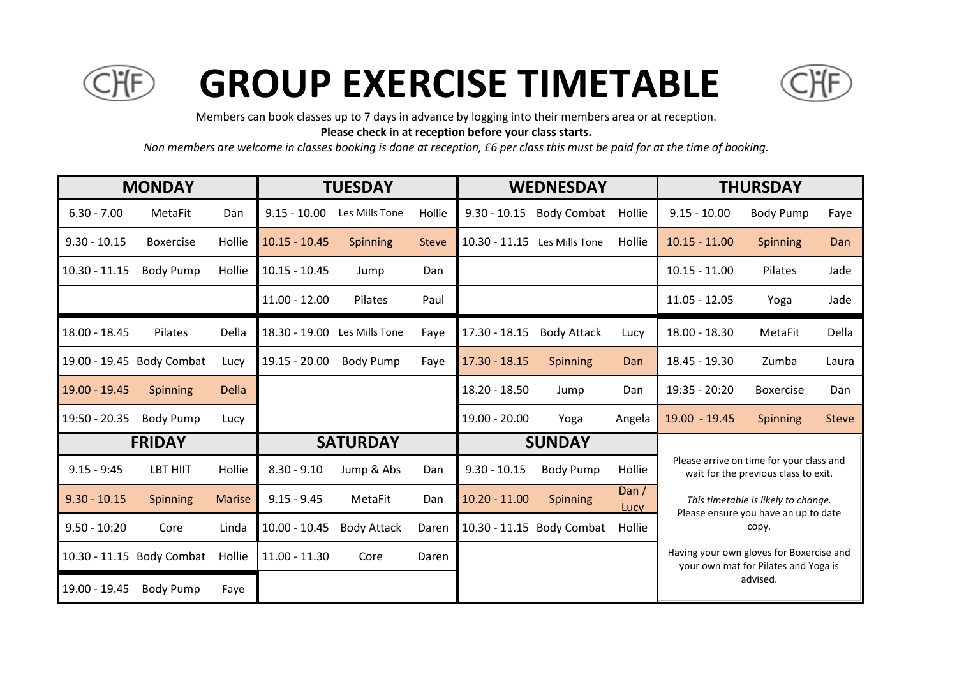

## **GROUP EXERCISE TIMETABLE**



Members can book classes up to 7 days in advance by logging into their members area or at reception.

**Please check in at reception before your class starts.**

*Non members are welcome in classes booking is done at reception, £6 per class this must be paid for at the time of booking.*

| <b>MONDAY</b>   |                           |               | <b>TUESDAY</b>  |                    |              | <b>WEDNESDAY</b> |                           |                 | <b>THURSDAY</b>                                                                  |                                      |              |
|-----------------|---------------------------|---------------|-----------------|--------------------|--------------|------------------|---------------------------|-----------------|----------------------------------------------------------------------------------|--------------------------------------|--------------|
| $6.30 - 7.00$   | MetaFit                   | Dan           | $9.15 - 10.00$  | Les Mills Tone     | Hollie       | $9.30 - 10.15$   | <b>Body Combat</b>        | Hollie          | $9.15 - 10.00$                                                                   | <b>Body Pump</b>                     | Faye         |
| $9.30 - 10.15$  | <b>Boxercise</b>          | Hollie        | $10.15 - 10.45$ | Spinning           | <b>Steve</b> | $10.30 - 11.15$  | Les Mills Tone            | Hollie          | $10.15 - 11.00$                                                                  | <b>Spinning</b>                      | Dan          |
| $10.30 - 11.15$ | <b>Body Pump</b>          | Hollie        | $10.15 - 10.45$ | Jump               | Dan          |                  |                           |                 | $10.15 - 11.00$                                                                  | Pilates                              | Jade         |
|                 |                           |               | $11.00 - 12.00$ | Pilates            | Paul         |                  |                           |                 | $11.05 - 12.05$                                                                  | Yoga                                 | Jade         |
| 18.00 - 18.45   | Pilates                   | Della         | 18.30 - 19.00   | Les Mills Tone     | Faye         | 17.30 - 18.15    | <b>Body Attack</b>        | Lucy            | $18.00 - 18.30$                                                                  | MetaFit                              | Della        |
|                 | 19.00 - 19.45 Body Combat | Lucy          | $19.15 - 20.00$ | <b>Body Pump</b>   | Faye         | $17.30 - 18.15$  | Spinning                  | Dan             | 18.45 - 19.30                                                                    | Zumba                                | Laura        |
| 19.00 - 19.45   | Spinning                  | <b>Della</b>  |                 |                    |              | 18.20 - 18.50    | Jump                      | Dan             | 19:35 - 20:20                                                                    | <b>Boxercise</b>                     | Dan          |
| 19:50 - 20.35   | <b>Body Pump</b>          | Lucy          |                 |                    |              | 19.00 - 20.00    | Yoga                      | Angela          | 19.00 - 19.45                                                                    | Spinning                             | <b>Steve</b> |
|                 | <b>FRIDAY</b>             |               | <b>SATURDAY</b> |                    |              | <b>SUNDAY</b>    |                           |                 |                                                                                  |                                      |              |
| $9.15 - 9:45$   | <b>LBT HIIT</b>           | Hollie        | $8.30 - 9.10$   | Jump & Abs         | Dan          | $9.30 - 10.15$   | <b>Body Pump</b>          | Hollie          | Please arrive on time for your class and<br>wait for the previous class to exit. |                                      |              |
| $9.30 - 10.15$  | Spinning                  | <b>Marise</b> | $9.15 - 9.45$   | <b>MetaFit</b>     | Dan          | $10.20 - 11.00$  | <b>Spinning</b>           | Dan $/$<br>Lucy | This timetable is likely to change.                                              |                                      |              |
| $9.50 - 10:20$  | Core                      | Linda         | $10.00 - 10.45$ | <b>Body Attack</b> | Daren        |                  | 10.30 - 11.15 Body Combat | Hollie          | Please ensure you have an up to date<br>copy.                                    |                                      |              |
|                 | 10.30 - 11.15 Body Combat | Hollie        | $11.00 - 11.30$ | Core               | Daren        |                  |                           |                 | Having your own gloves for Boxercise and                                         | your own mat for Pilates and Yoga is |              |
| 19.00 - 19.45   | <b>Body Pump</b>          | Faye          |                 |                    |              |                  |                           |                 |                                                                                  | advised.                             |              |